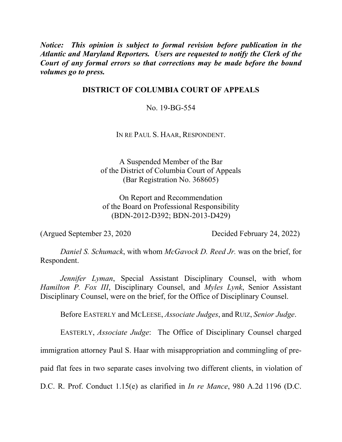*Notice: This opinion is subject to formal revision before publication in the Atlantic and Maryland Reporters. Users are requested to notify the Clerk of the Court of any formal errors so that corrections may be made before the bound volumes go to press.*

# **DISTRICT OF COLUMBIA COURT OF APPEALS**

No. 19-BG-554

IN RE PAUL S. HAAR, RESPONDENT.

A Suspended Member of the Bar of the District of Columbia Court of Appeals (Bar Registration No. 368605)

On Report and Recommendation of the Board on Professional Responsibility (BDN-2012-D392; BDN-2013-D429)

(Argued September 23, 2020 Decided February 24, 2022)

*Daniel S. Schumack*, with whom *McGavock D. Reed Jr.* was on the brief, for Respondent.

*Jennifer Lyman*, Special Assistant Disciplinary Counsel, with whom *Hamilton P. Fox III*, Disciplinary Counsel, and *Myles Lynk*, Senior Assistant Disciplinary Counsel, were on the brief, for the Office of Disciplinary Counsel.

Before EASTERLY and MCLEESE, *Associate Judges*, and RUIZ, *Senior Judge*.

EASTERLY, *Associate Judge*: The Office of Disciplinary Counsel charged

immigration attorney Paul S. Haar with misappropriation and commingling of pre-

paid flat fees in two separate cases involving two different clients, in violation of

D.C. R. Prof. Conduct 1.15(e) as clarified in *In re Mance*, 980 A.2d 1196 (D.C.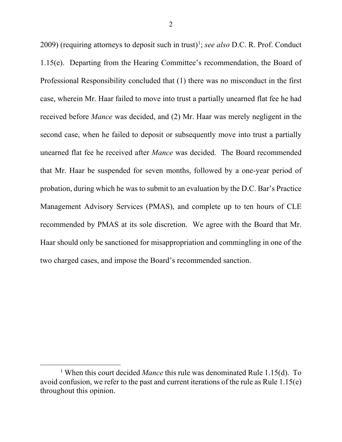2009) (requiring attorneys to deposit such in trust)<sup>1</sup>; *see also* D.C. R. Prof. Conduct 1.15(e). Departing from the Hearing Committee's recommendation, the Board of Professional Responsibility concluded that (1) there was no misconduct in the first case, wherein Mr. Haar failed to move into trust a partially unearned flat fee he had received before *Mance* was decided, and (2) Mr. Haar was merely negligent in the second case, when he failed to deposit or subsequently move into trust a partially unearned flat fee he received after *Mance* was decided. The Board recommended that Mr. Haar be suspended for seven months, followed by a one-year period of probation, during which he was to submit to an evaluation by the D.C. Bar's Practice Management Advisory Services (PMAS), and complete up to ten hours of CLE recommended by PMAS at its sole discretion. We agree with the Board that Mr. Haar should only be sanctioned for misappropriation and commingling in one of the two charged cases, and impose the Board's recommended sanction.

<sup>&</sup>lt;sup>1</sup> When this court decided *Mance* this rule was denominated Rule 1.15(d). To avoid confusion, we refer to the past and current iterations of the rule as Rule 1.15(e) throughout this opinion.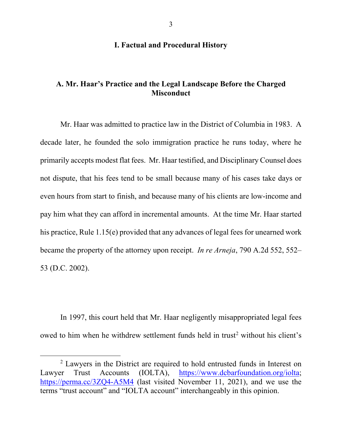# **I. Factual and Procedural History**

# **A. Mr. Haar's Practice and the Legal Landscape Before the Charged Misconduct**

Mr. Haar was admitted to practice law in the District of Columbia in 1983. A decade later, he founded the solo immigration practice he runs today, where he primarily accepts modest flat fees. Mr. Haar testified, and Disciplinary Counsel does not dispute, that his fees tend to be small because many of his cases take days or even hours from start to finish, and because many of his clients are low-income and pay him what they can afford in incremental amounts. At the time Mr. Haar started his practice, Rule 1.15(e) provided that any advances of legal fees for unearned work became the property of the attorney upon receipt. *In re Arneja*, 790 A.2d 552, 552– 53 (D.C. 2002).

In 1997, this court held that Mr. Haar negligently misappropriated legal fees owed to him when he withdrew settlement funds held in trust<sup>2</sup> without his client's

 $2$  Lawyers in the District are required to hold entrusted funds in Interest on Lawyer Trust Accounts (IOLTA), https://www.dcbarfoundation.org/iolta; https://perma.cc/3ZQ4-A5M4 (last visited November 11, 2021), and we use the terms "trust account" and "IOLTA account" interchangeably in this opinion.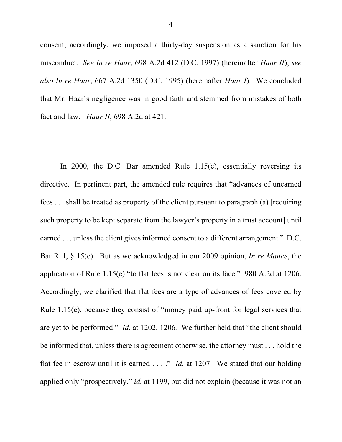consent; accordingly, we imposed a thirty-day suspension as a sanction for his misconduct. *See In re Haar*, 698 A.2d 412 (D.C. 1997) (hereinafter *Haar II*); *see also In re Haar*, 667 A.2d 1350 (D.C. 1995) (hereinafter *Haar I*). We concluded that Mr. Haar's negligence was in good faith and stemmed from mistakes of both fact and law. *Haar II*, 698 A.2d at 421.

In 2000, the D.C. Bar amended Rule 1.15(e), essentially reversing its directive. In pertinent part, the amended rule requires that "advances of unearned fees . . . shall be treated as property of the client pursuant to paragraph (a) [requiring such property to be kept separate from the lawyer's property in a trust account] until earned ... unless the client gives informed consent to a different arrangement." D.C. Bar R. I, § 15(e). But as we acknowledged in our 2009 opinion, *In re Mance*, the application of Rule 1.15(e) "to flat fees is not clear on its face." 980 A.2d at 1206. Accordingly, we clarified that flat fees are a type of advances of fees covered by Rule 1.15(e), because they consist of "money paid up-front for legal services that are yet to be performed." *Id.* at 1202, 1206*.* We further held that "the client should be informed that, unless there is agreement otherwise, the attorney must . . . hold the flat fee in escrow until it is earned . . . ." *Id.* at 1207. We stated that our holding applied only "prospectively," *id.* at 1199, but did not explain (because it was not an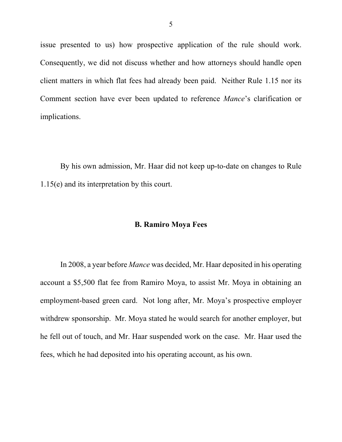issue presented to us) how prospective application of the rule should work. Consequently, we did not discuss whether and how attorneys should handle open client matters in which flat fees had already been paid. Neither Rule 1.15 nor its Comment section have ever been updated to reference *Mance*'s clarification or implications.

By his own admission, Mr. Haar did not keep up-to-date on changes to Rule 1.15(e) and its interpretation by this court.

### **B. Ramiro Moya Fees**

In 2008, a year before *Mance* was decided, Mr. Haar deposited in his operating account a \$5,500 flat fee from Ramiro Moya, to assist Mr. Moya in obtaining an employment-based green card. Not long after, Mr. Moya's prospective employer withdrew sponsorship. Mr. Moya stated he would search for another employer, but he fell out of touch, and Mr. Haar suspended work on the case. Mr. Haar used the fees, which he had deposited into his operating account, as his own.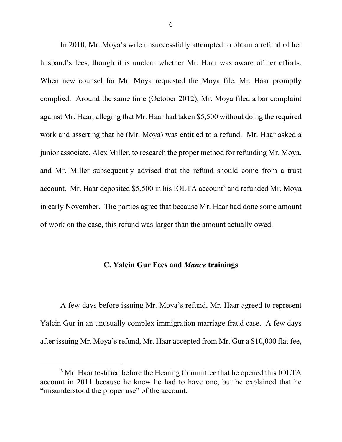In 2010, Mr. Moya's wife unsuccessfully attempted to obtain a refund of her husband's fees, though it is unclear whether Mr. Haar was aware of her efforts. When new counsel for Mr. Moya requested the Moya file, Mr. Haar promptly complied. Around the same time (October 2012), Mr. Moya filed a bar complaint against Mr. Haar, alleging that Mr. Haar had taken \$5,500 without doing the required work and asserting that he (Mr. Moya) was entitled to a refund. Mr. Haar asked a junior associate, Alex Miller, to research the proper method for refunding Mr. Moya, and Mr. Miller subsequently advised that the refund should come from a trust account. Mr. Haar deposited  $$5,500$  in his IOLTA account<sup>3</sup> and refunded Mr. Moya in early November. The parties agree that because Mr. Haar had done some amount of work on the case, this refund was larger than the amount actually owed.

### **C. Yalcin Gur Fees and** *Mance* **trainings**

A few days before issuing Mr. Moya's refund, Mr. Haar agreed to represent Yalcin Gur in an unusually complex immigration marriage fraud case. A few days after issuing Mr. Moya's refund, Mr. Haar accepted from Mr. Gur a \$10,000 flat fee,

 $3$  Mr. Haar testified before the Hearing Committee that he opened this IOLTA account in 2011 because he knew he had to have one, but he explained that he "misunderstood the proper use" of the account.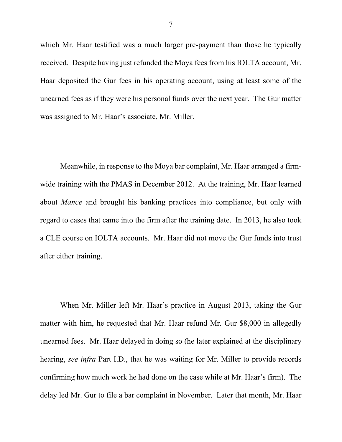which Mr. Haar testified was a much larger pre-payment than those he typically received. Despite having just refunded the Moya fees from his IOLTA account, Mr. Haar deposited the Gur fees in his operating account, using at least some of the unearned fees as if they were his personal funds over the next year. The Gur matter was assigned to Mr. Haar's associate, Mr. Miller.

Meanwhile, in response to the Moya bar complaint, Mr. Haar arranged a firmwide training with the PMAS in December 2012. At the training, Mr. Haar learned about *Mance* and brought his banking practices into compliance, but only with regard to cases that came into the firm after the training date.In 2013, he also took a CLE course on IOLTA accounts. Mr. Haar did not move the Gur funds into trust after either training.

When Mr. Miller left Mr. Haar's practice in August 2013, taking the Gur matter with him, he requested that Mr. Haar refund Mr. Gur \$8,000 in allegedly unearned fees. Mr. Haar delayed in doing so (he later explained at the disciplinary hearing, *see infra* Part I.D., that he was waiting for Mr. Miller to provide records confirming how much work he had done on the case while at Mr. Haar's firm). The delay led Mr. Gur to file a bar complaint in November. Later that month, Mr. Haar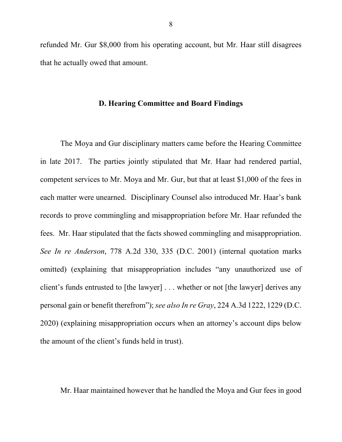refunded Mr. Gur \$8,000 from his operating account, but Mr. Haar still disagrees that he actually owed that amount.

#### **D. Hearing Committee and Board Findings**

The Moya and Gur disciplinary matters came before the Hearing Committee in late 2017. The parties jointly stipulated that Mr. Haar had rendered partial, competent services to Mr. Moya and Mr. Gur, but that at least \$1,000 of the fees in each matter were unearned. Disciplinary Counsel also introduced Mr. Haar's bank records to prove commingling and misappropriation before Mr. Haar refunded the fees. Mr. Haar stipulated that the facts showed commingling and misappropriation. *See In re Anderson*, 778 A.2d 330, 335 (D.C. 2001) (internal quotation marks omitted) (explaining that misappropriation includes "any unauthorized use of client's funds entrusted to [the lawyer] . . . whether or not [the lawyer] derives any personal gain or benefit therefrom"); *see also In re Gray*, 224 A.3d 1222, 1229 (D.C. 2020) (explaining misappropriation occurs when an attorney's account dips below the amount of the client's funds held in trust).

Mr. Haar maintained however that he handled the Moya and Gur fees in good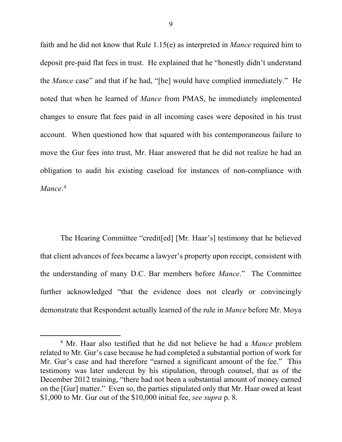faith and he did not know that Rule 1.15(e) as interpreted in *Mance* required him to deposit pre-paid flat fees in trust. He explained that he "honestly didn't understand the *Mance* case" and that if he had, "[he] would have complied immediately."He noted that when he learned of *Mance* from PMAS, he immediately implemented changes to ensure flat fees paid in all incoming cases were deposited in his trust account. When questioned how that squared with his contemporaneous failure to move the Gur fees into trust, Mr. Haar answered that he did not realize he had an obligation to audit his existing caseload for instances of non-compliance with *Mance*. 4

The Hearing Committee "credit[ed] [Mr. Haar's] testimony that he believed that client advances of fees became a lawyer's property upon receipt, consistent with the understanding of many D.C. Bar members before *Mance*." The Committee further acknowledged "that the evidence does not clearly or convincingly demonstrate that Respondent actually learned of the rule in *Mance* before Mr. Moya

 <sup>4</sup> Mr. Haar also testified that he did not believe he had a *Mance* problem related to Mr. Gur's case because he had completed a substantial portion of work for Mr. Gur's case and had therefore "earned a significant amount of the fee." This testimony was later undercut by his stipulation, through counsel, that as of the December 2012 training, "there had not been a substantial amount of money earned on the [Gur] matter." Even so, the parties stipulated only that Mr. Haar owed at least \$1,000 to Mr. Gur out of the \$10,000 initial fee, *see supra* p. 8.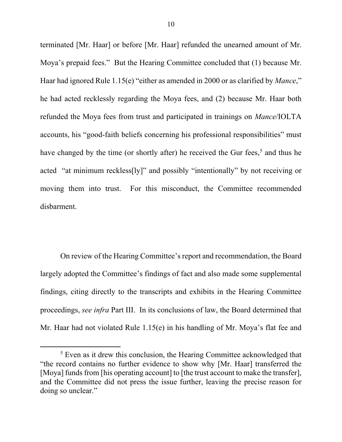terminated [Mr. Haar] or before [Mr. Haar] refunded the unearned amount of Mr. Moya's prepaid fees." But the Hearing Committee concluded that (1) because Mr. Haar had ignored Rule 1.15(e) "either as amended in 2000 or as clarified by *Mance*," he had acted recklessly regarding the Moya fees, and (2) because Mr. Haar both refunded the Moya fees from trust and participated in trainings on *Mance*/IOLTA accounts, his "good-faith beliefs concerning his professional responsibilities" must have changed by the time (or shortly after) he received the Gur fees,<sup>5</sup> and thus he acted "at minimum reckless[ly]" and possibly "intentionally" by not receiving or moving them into trust. For this misconduct, the Committee recommended disbarment.

On review of the Hearing Committee's report and recommendation, the Board largely adopted the Committee's findings of fact and also made some supplemental findings, citing directly to the transcripts and exhibits in the Hearing Committee proceedings, *see infra* Part III. In its conclusions of law, the Board determined that Mr. Haar had not violated Rule 1.15(e) in his handling of Mr. Moya's flat fee and

 <sup>5</sup> Even as it drew this conclusion, the Hearing Committee acknowledged that "the record contains no further evidence to show why [Mr. Haar] transferred the [Moya] funds from [his operating account] to [the trust account to make the transfer], and the Committee did not press the issue further, leaving the precise reason for doing so unclear."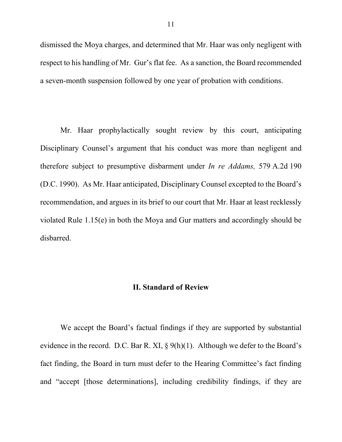dismissed the Moya charges, and determined that Mr. Haar was only negligent with respect to his handling of Mr. Gur's flat fee. As a sanction, the Board recommended a seven-month suspension followed by one year of probation with conditions.

Mr. Haar prophylactically sought review by this court, anticipating Disciplinary Counsel's argument that his conduct was more than negligent and therefore subject to presumptive disbarment under *In re Addams,* 579 A.2d 190 (D.C. 1990). As Mr. Haar anticipated, Disciplinary Counsel excepted to the Board's recommendation, and argues in its brief to our court that Mr. Haar at least recklessly violated Rule 1.15(e) in both the Moya and Gur matters and accordingly should be disbarred.

### **II. Standard of Review**

We accept the Board's factual findings if they are supported by substantial evidence in the record. D.C. Bar R. XI, § 9(h)(1). Although we defer to the Board's fact finding, the Board in turn must defer to the Hearing Committee's fact finding and "accept [those determinations], including credibility findings, if they are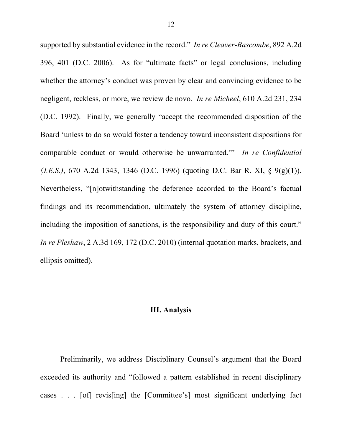supported by substantial evidence in the record." *In re Cleaver-Bascombe*, 892 A.2d 396, 401 (D.C. 2006). As for "ultimate facts" or legal conclusions, including whether the attorney's conduct was proven by clear and convincing evidence to be negligent, reckless, or more, we review de novo. *In re Micheel*, 610 A.2d 231, 234 (D.C. 1992). Finally, we generally "accept the recommended disposition of the Board 'unless to do so would foster a tendency toward inconsistent dispositions for comparable conduct or would otherwise be unwarranted.'" *In re Confidential (J.E.S.)*, 670 A.2d 1343, 1346 (D.C. 1996) (quoting D.C. Bar R. XI, § 9(g)(1)). Nevertheless, "[n]otwithstanding the deference accorded to the Board's factual findings and its recommendation, ultimately the system of attorney discipline, including the imposition of sanctions, is the responsibility and duty of this court." *In re Pleshaw*, 2 A.3d 169, 172 (D.C. 2010) (internal quotation marks, brackets, and ellipsis omitted).

#### **III. Analysis**

Preliminarily, we address Disciplinary Counsel's argument that the Board exceeded its authority and "followed a pattern established in recent disciplinary cases . . . [of] revis[ing] the [Committee's] most significant underlying fact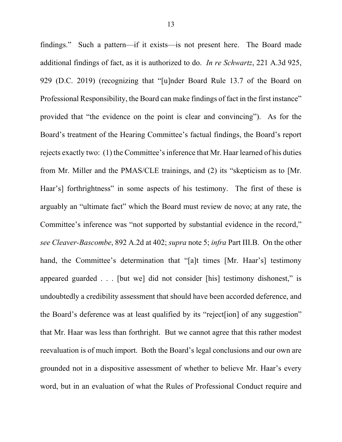findings." Such a pattern—if it exists—is not present here. The Board made additional findings of fact, as it is authorized to do. *In re Schwartz*, 221 A.3d 925, 929 (D.C. 2019) (recognizing that "[u]nder Board Rule 13.7 of the Board on Professional Responsibility, the Board can make findings of fact in the first instance" provided that "the evidence on the point is clear and convincing"). As for the Board's treatment of the Hearing Committee's factual findings, the Board's report rejects exactly two: (1) the Committee's inference that Mr. Haar learned of his duties from Mr. Miller and the PMAS/CLE trainings, and (2) its "skepticism as to [Mr. Haar's] forthrightness" in some aspects of his testimony. The first of these is arguably an "ultimate fact" which the Board must review de novo; at any rate, the Committee's inference was "not supported by substantial evidence in the record," *see Cleaver-Bascombe*, 892 A.2d at 402; *supra* note 5; *infra* Part III.B. On the other hand, the Committee's determination that "[a]t times [Mr. Haar's] testimony appeared guarded . . . [but we] did not consider [his] testimony dishonest," is undoubtedly a credibility assessment that should have been accorded deference, and the Board's deference was at least qualified by its "reject[ion] of any suggestion" that Mr. Haar was less than forthright. But we cannot agree that this rather modest reevaluation is of much import. Both the Board's legal conclusions and our own are grounded not in a dispositive assessment of whether to believe Mr. Haar's every word, but in an evaluation of what the Rules of Professional Conduct require and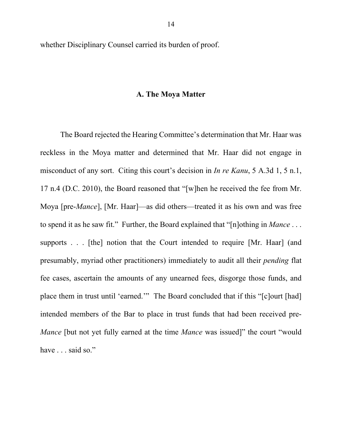whether Disciplinary Counsel carried its burden of proof.

#### **A. The Moya Matter**

The Board rejected the Hearing Committee's determination that Mr. Haar was reckless in the Moya matter and determined that Mr. Haar did not engage in misconduct of any sort. Citing this court's decision in *In re Kanu*, 5 A.3d 1, 5 n.1, 17 n.4 (D.C. 2010), the Board reasoned that "[w]hen he received the fee from Mr. Moya [pre-*Mance*], [Mr. Haar]—as did others—treated it as his own and was free to spend it as he saw fit." Further, the Board explained that "[n]othing in *Mance* . . . supports . . . [the] notion that the Court intended to require [Mr. Haar] (and presumably, myriad other practitioners) immediately to audit all their *pending* flat fee cases, ascertain the amounts of any unearned fees, disgorge those funds, and place them in trust until 'earned.'" The Board concluded that if this "[c]ourt [had] intended members of the Bar to place in trust funds that had been received pre-*Mance* [but not yet fully earned at the time *Mance* was issued]" the court "would have . . . said so."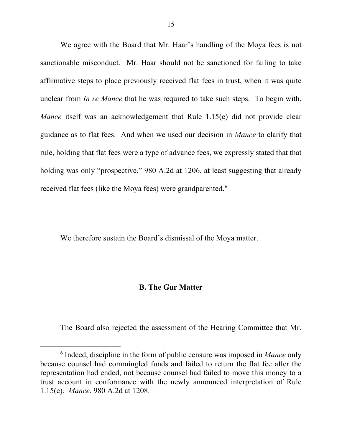We agree with the Board that Mr. Haar's handling of the Moya fees is not sanctionable misconduct. Mr. Haar should not be sanctioned for failing to take affirmative steps to place previously received flat fees in trust, when it was quite unclear from *In re Mance* that he was required to take such steps. To begin with, *Mance* itself was an acknowledgement that Rule 1.15(e) did not provide clear guidance as to flat fees. And when we used our decision in *Mance* to clarify that rule, holding that flat fees were a type of advance fees, we expressly stated that that holding was only "prospective," 980 A.2d at 1206, at least suggesting that already received flat fees (like the Moya fees) were grandparented.<sup>6</sup>

We therefore sustain the Board's dismissal of the Moya matter.

#### **B. The Gur Matter**

The Board also rejected the assessment of the Hearing Committee that Mr.

 <sup>6</sup> Indeed, discipline in the form of public censure was imposed in *Mance* only because counsel had commingled funds and failed to return the flat fee after the representation had ended, not because counsel had failed to move this money to a trust account in conformance with the newly announced interpretation of Rule 1.15(e). *Mance*, 980 A.2d at 1208.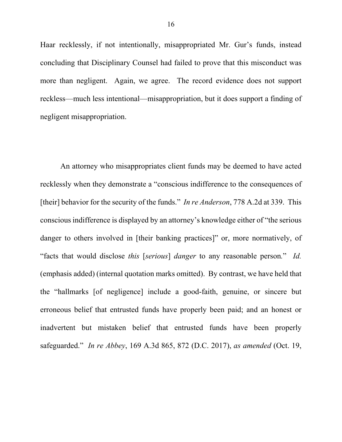Haar recklessly, if not intentionally, misappropriated Mr. Gur's funds, instead concluding that Disciplinary Counsel had failed to prove that this misconduct was more than negligent. Again, we agree. The record evidence does not support reckless—much less intentional—misappropriation, but it does support a finding of negligent misappropriation.

An attorney who misappropriates client funds may be deemed to have acted recklessly when they demonstrate a "conscious indifference to the consequences of [their] behavior for the security of the funds." *In re Anderson*, 778 A.2d at 339. This conscious indifference is displayed by an attorney's knowledge either of "the serious danger to others involved in [their banking practices]" or, more normatively, of "facts that would disclose *this* [*serious*] *danger* to any reasonable person*.*" *Id.* (emphasis added) (internal quotation marks omitted). By contrast, we have held that the "hallmarks [of negligence] include a good-faith, genuine, or sincere but erroneous belief that entrusted funds have properly been paid; and an honest or inadvertent but mistaken belief that entrusted funds have been properly safeguarded." *In re Abbey*, 169 A.3d 865, 872 (D.C. 2017), *as amended* (Oct. 19,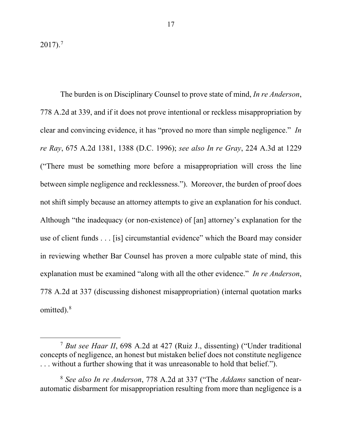$2017$ ).<sup>7</sup>

The burden is on Disciplinary Counsel to prove state of mind, *In re Anderson*, 778 A.2d at 339, and if it does not prove intentional or reckless misappropriation by clear and convincing evidence, it has "proved no more than simple negligence." *In re Ray*, 675 A.2d 1381, 1388 (D.C. 1996); *see also In re Gray*, 224 A.3d at 1229 ("There must be something more before a misappropriation will cross the line between simple negligence and recklessness."). Moreover, the burden of proof does not shift simply because an attorney attempts to give an explanation for his conduct. Although "the inadequacy (or non-existence) of [an] attorney's explanation for the use of client funds . . . [is] circumstantial evidence" which the Board may consider in reviewing whether Bar Counsel has proven a more culpable state of mind, this explanation must be examined "along with all the other evidence." *In re Anderson*, 778 A.2d at 337 (discussing dishonest misappropriation) (internal quotation marks omitted).<sup>8</sup>

 <sup>7</sup> *But see Haar II*, 698 A.2d at 427 (Ruiz J., dissenting) ("Under traditional concepts of negligence, an honest but mistaken belief does not constitute negligence . . . without a further showing that it was unreasonable to hold that belief.").

<sup>8</sup> *See also In re Anderson*, 778 A.2d at 337 ("The *Addams* sanction of nearautomatic disbarment for misappropriation resulting from more than negligence is a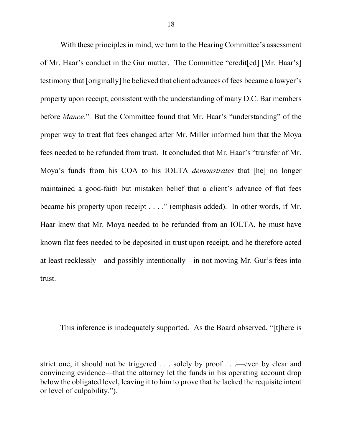With these principles in mind, we turn to the Hearing Committee's assessment of Mr. Haar's conduct in the Gur matter. The Committee "credit[ed] [Mr. Haar's] testimony that [originally] he believed that client advances of fees became a lawyer's property upon receipt, consistent with the understanding of many D.C. Bar members before *Mance*." But the Committee found that Mr. Haar's "understanding" of the proper way to treat flat fees changed after Mr. Miller informed him that the Moya fees needed to be refunded from trust. It concluded that Mr. Haar's "transfer of Mr. Moya's funds from his COA to his IOLTA *demonstrates* that [he] no longer maintained a good-faith but mistaken belief that a client's advance of flat fees became his property upon receipt . . . ." (emphasis added). In other words, if Mr. Haar knew that Mr. Moya needed to be refunded from an IOLTA, he must have known flat fees needed to be deposited in trust upon receipt, and he therefore acted at least recklessly—and possibly intentionally—in not moving Mr. Gur's fees into trust.

This inference is inadequately supported. As the Board observed, "[t]here is

 $\overline{a}$ 

strict one; it should not be triggered . . . solely by proof . . .—even by clear and convincing evidence—that the attorney let the funds in his operating account drop below the obligated level, leaving it to him to prove that he lacked the requisite intent or level of culpability.").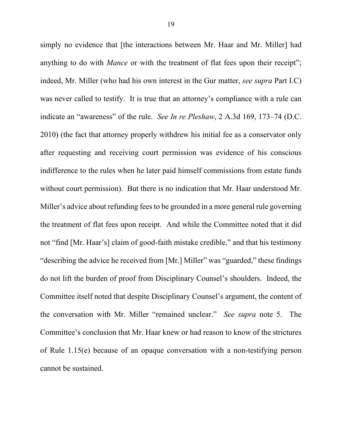simply no evidence that [the interactions between Mr. Haar and Mr. Miller] had anything to do with *Mance* or with the treatment of flat fees upon their receipt"; indeed, Mr. Miller (who had his own interest in the Gur matter, *see supra* Part I.C) was never called to testify.It is true that an attorney's compliance with a rule can indicate an "awareness" of the rule. *See In re Pleshaw*, 2 A.3d 169, 173–74 (D.C. 2010) (the fact that attorney properly withdrew his initial fee as a conservator only after requesting and receiving court permission was evidence of his conscious indifference to the rules when he later paid himself commissions from estate funds without court permission). But there is no indication that Mr. Haar understood Mr. Miller's advice about refunding fees to be grounded in a more general rule governing the treatment of flat fees upon receipt. And while the Committee noted that it did not "find [Mr. Haar's] claim of good-faith mistake credible," and that his testimony "describing the advice he received from [Mr.] Miller" was "guarded," these findings do not lift the burden of proof from Disciplinary Counsel's shoulders. Indeed, the Committee itself noted that despite Disciplinary Counsel's argument, the content of the conversation with Mr. Miller "remained unclear." *See supra* note 5. The Committee's conclusion that Mr. Haar knew or had reason to know of the strictures of Rule 1.15(e) because of an opaque conversation with a non-testifying person cannot be sustained.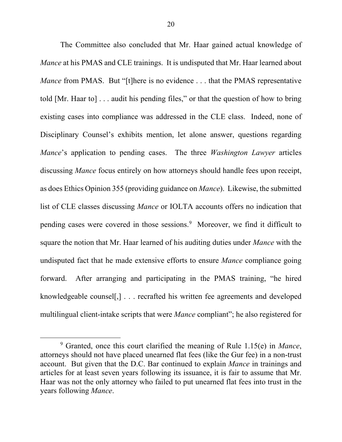The Committee also concluded that Mr. Haar gained actual knowledge of *Mance* at his PMAS and CLE trainings. It is undisputed that Mr. Haar learned about *Mance* from PMAS. But "[t]here is no evidence . . . that the PMAS representative told [Mr. Haar to] . . . audit his pending files," or that the question of how to bring existing cases into compliance was addressed in the CLE class. Indeed, none of Disciplinary Counsel's exhibits mention, let alone answer, questions regarding *Mance*'s application to pending cases. The three *Washington Lawyer* articles discussing *Mance* focus entirely on how attorneys should handle fees upon receipt, as does Ethics Opinion 355 (providing guidance on *Mance*). Likewise, the submitted list of CLE classes discussing *Mance* or IOLTA accounts offers no indication that pending cases were covered in those sessions.9 Moreover, we find it difficult to square the notion that Mr. Haar learned of his auditing duties under *Mance* with the undisputed fact that he made extensive efforts to ensure *Mance* compliance going forward. After arranging and participating in the PMAS training, "he hired knowledgeable counsel[,] . . . recrafted his written fee agreements and developed multilingual client-intake scripts that were *Mance* compliant"; he also registered for

 <sup>9</sup> Granted, once this court clarified the meaning of Rule 1.15(e) in *Mance*, attorneys should not have placed unearned flat fees (like the Gur fee) in a non-trust account. But given that the D.C. Bar continued to explain *Mance* in trainings and articles for at least seven years following its issuance, it is fair to assume that Mr. Haar was not the only attorney who failed to put unearned flat fees into trust in the years following *Mance*.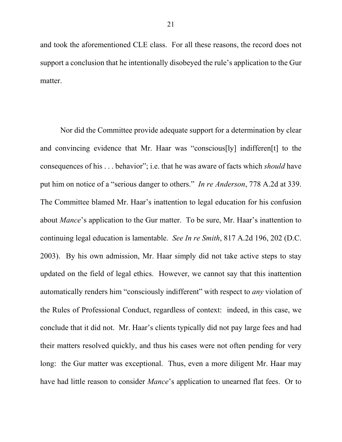and took the aforementioned CLE class. For all these reasons, the record does not support a conclusion that he intentionally disobeyed the rule's application to the Gur matter.

Nor did the Committee provide adequate support for a determination by clear and convincing evidence that Mr. Haar was "conscious[ly] indifferen[t] to the consequences of his . . . behavior"; i.e. that he was aware of facts which *should* have put him on notice of a "serious danger to others." *In re Anderson*, 778 A.2d at 339. The Committee blamed Mr. Haar's inattention to legal education for his confusion about *Mance*'s application to the Gur matter. To be sure, Mr. Haar's inattention to continuing legal education is lamentable. *See In re Smith*, 817 A.2d 196, 202 (D.C. 2003). By his own admission, Mr. Haar simply did not take active steps to stay updated on the field of legal ethics. However, we cannot say that this inattention automatically renders him "consciously indifferent" with respect to *any* violation of the Rules of Professional Conduct, regardless of context: indeed, in this case, we conclude that it did not. Mr. Haar's clients typically did not pay large fees and had their matters resolved quickly, and thus his cases were not often pending for very long: the Gur matter was exceptional. Thus, even a more diligent Mr. Haar may have had little reason to consider *Mance*'s application to unearned flat fees. Or to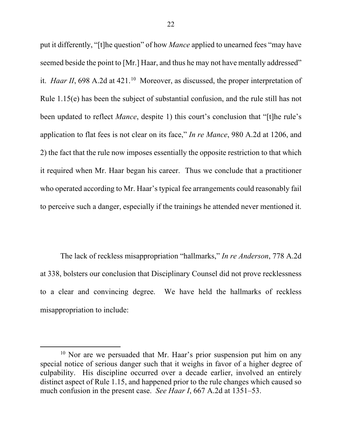put it differently, "[t]he question" of how *Mance* applied to unearned fees "may have seemed beside the point to [Mr.] Haar, and thus he may not have mentally addressed" it. *Haar II*, 698 A.2d at 421.<sup>10</sup> Moreover, as discussed, the proper interpretation of Rule 1.15(e) has been the subject of substantial confusion, and the rule still has not been updated to reflect *Mance*, despite 1) this court's conclusion that "[t]he rule's application to flat fees is not clear on its face," *In re Mance*, 980 A.2d at 1206, and 2) the fact that the rule now imposes essentially the opposite restriction to that which it required when Mr. Haar began his career. Thus we conclude that a practitioner who operated according to Mr. Haar's typical fee arrangements could reasonably fail to perceive such a danger, especially if the trainings he attended never mentioned it.

The lack of reckless misappropriation "hallmarks," *In re Anderson*, 778 A.2d at 338, bolsters our conclusion that Disciplinary Counsel did not prove recklessness to a clear and convincing degree. We have held the hallmarks of reckless misappropriation to include:

 $10$  Nor are we persuaded that Mr. Haar's prior suspension put him on any special notice of serious danger such that it weighs in favor of a higher degree of culpability. His discipline occurred over a decade earlier, involved an entirely distinct aspect of Rule 1.15, and happened prior to the rule changes which caused so much confusion in the present case. *See Haar I*, 667 A.2d at 1351–53.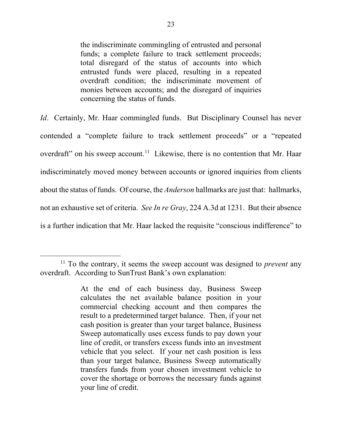the indiscriminate commingling of entrusted and personal funds; a complete failure to track settlement proceeds; total disregard of the status of accounts into which entrusted funds were placed, resulting in a repeated overdraft condition; the indiscriminate movement of monies between accounts; and the disregard of inquiries concerning the status of funds.

*Id.* Certainly, Mr. Haar commingled funds. But Disciplinary Counsel has never contended a "complete failure to track settlement proceeds" or a "repeated overdraft" on his sweep account.<sup>11</sup> Likewise, there is no contention that Mr. Haar indiscriminately moved money between accounts or ignored inquiries from clients about the status of funds. Of course, the *Anderson* hallmarks are just that: hallmarks, not an exhaustive set of criteria. *See In re Gray*, 224 A.3d at 1231. But their absence is a further indication that Mr. Haar lacked the requisite "conscious indifference" to

 <sup>11</sup> To the contrary, it seems the sweep account was designed to *prevent* any overdraft. According to SunTrust Bank's own explanation:

At the end of each business day, Business Sweep calculates the net available balance position in your commercial checking account and then compares the result to a predetermined target balance. Then, if your net cash position is greater than your target balance, Business Sweep automatically uses excess funds to pay down your line of credit, or transfers excess funds into an investment vehicle that you select. If your net cash position is less than your target balance, Business Sweep automatically transfers funds from your chosen investment vehicle to cover the shortage or borrows the necessary funds against your line of credit.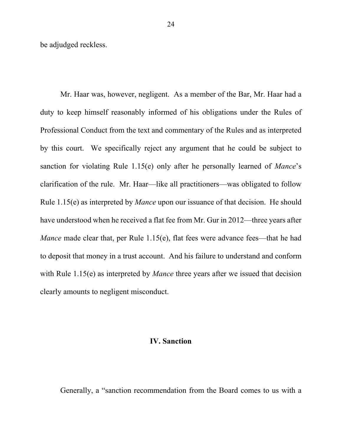be adjudged reckless.

Mr. Haar was, however, negligent. As a member of the Bar, Mr. Haar had a duty to keep himself reasonably informed of his obligations under the Rules of Professional Conduct from the text and commentary of the Rules and as interpreted by this court. We specifically reject any argument that he could be subject to sanction for violating Rule 1.15(e) only after he personally learned of *Mance*'s clarification of the rule. Mr. Haar—like all practitioners—was obligated to follow Rule 1.15(e) as interpreted by *Mance* upon our issuance of that decision. He should have understood when he received a flat fee from Mr. Gur in 2012—three years after *Mance* made clear that, per Rule 1.15(e), flat fees were advance fees—that he had to deposit that money in a trust account. And his failure to understand and conform with Rule 1.15(e) as interpreted by *Mance* three years after we issued that decision clearly amounts to negligent misconduct.

## **IV. Sanction**

Generally, a "sanction recommendation from the Board comes to us with a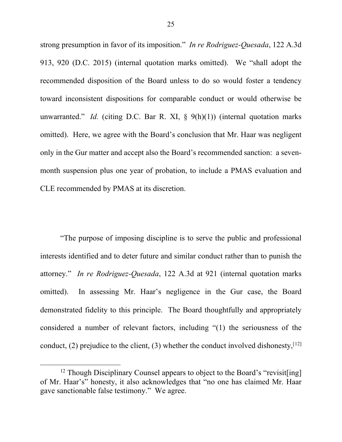strong presumption in favor of its imposition." *In re Rodriguez-Quesada*, 122 A.3d 913, 920 (D.C. 2015) (internal quotation marks omitted). We "shall adopt the recommended disposition of the Board unless to do so would foster a tendency toward inconsistent dispositions for comparable conduct or would otherwise be unwarranted." *Id.* (citing D.C. Bar R. XI,  $\frac{1}{2}$  9(h)(1)) (internal quotation marks omitted). Here, we agree with the Board's conclusion that Mr. Haar was negligent only in the Gur matter and accept also the Board's recommended sanction: a sevenmonth suspension plus one year of probation, to include a PMAS evaluation and CLE recommended by PMAS at its discretion.

"The purpose of imposing discipline is to serve the public and professional interests identified and to deter future and similar conduct rather than to punish the attorney." *In re Rodriguez-Quesada*, 122 A.3d at 921 (internal quotation marks omitted). In assessing Mr. Haar's negligence in the Gur case, the Board demonstrated fidelity to this principle. The Board thoughtfully and appropriately considered a number of relevant factors, including "(1) the seriousness of the conduct, (2) prejudice to the client, (3) whether the conduct involved dishonesty,  $[12]$ 

<sup>&</sup>lt;sup>12</sup> Though Disciplinary Counsel appears to object to the Board's "revisit[ing] of Mr. Haar's" honesty, it also acknowledges that "no one has claimed Mr. Haar gave sanctionable false testimony." We agree.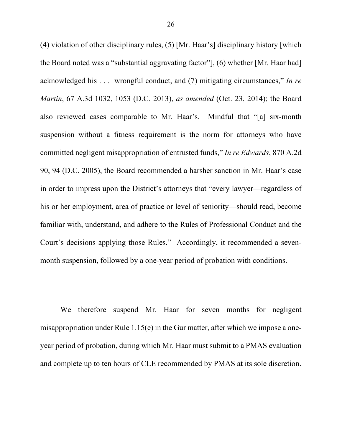(4) violation of other disciplinary rules, (5) [Mr. Haar's] disciplinary history [which the Board noted was a "substantial aggravating factor"], (6) whether [Mr. Haar had] acknowledged his . . . wrongful conduct, and (7) mitigating circumstances," *In re Martin*, 67 A.3d 1032, 1053 (D.C. 2013), *as amended* (Oct. 23, 2014); the Board also reviewed cases comparable to Mr. Haar's. Mindful that "[a] six-month suspension without a fitness requirement is the norm for attorneys who have committed negligent misappropriation of entrusted funds," *In re Edwards*, 870 A.2d 90, 94 (D.C. 2005), the Board recommended a harsher sanction in Mr. Haar's case in order to impress upon the District's attorneys that "every lawyer—regardless of his or her employment, area of practice or level of seniority—should read, become familiar with, understand, and adhere to the Rules of Professional Conduct and the Court's decisions applying those Rules." Accordingly, it recommended a sevenmonth suspension, followed by a one-year period of probation with conditions.

We therefore suspend Mr. Haar for seven months for negligent misappropriation under Rule 1.15(e) in the Gur matter, after which we impose a oneyear period of probation, during which Mr. Haar must submit to a PMAS evaluation and complete up to ten hours of CLE recommended by PMAS at its sole discretion.